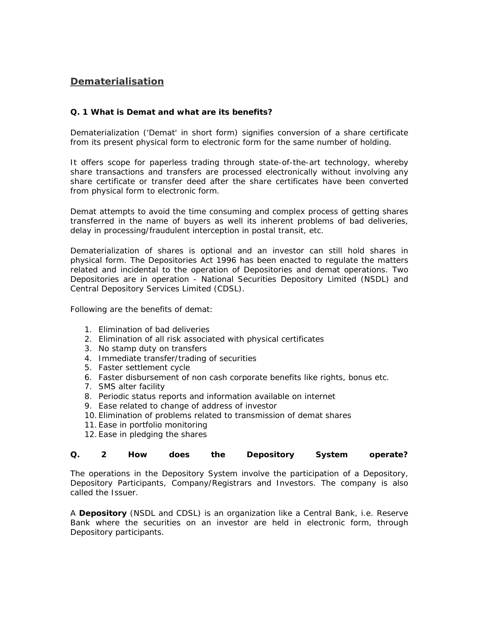# **Dematerialisation**

# **Q. 1 What is Demat and what are its benefits?**

Dematerialization ('Demat' in short form) signifies conversion of a share certificate from its present physical form to electronic form for the same number of holding.

It offers scope for paperless trading through state-of-the-art technology, whereby share transactions and transfers are processed electronically without involving any share certificate or transfer deed after the share certificates have been converted from physical form to electronic form.

Demat attempts to avoid the time consuming and complex process of getting shares transferred in the name of buyers as well its inherent problems of bad deliveries, delay in processing/fraudulent interception in postal transit, etc.

Dematerialization of shares is optional and an investor can still hold shares in physical form. The Depositories Act 1996 has been enacted to regulate the matters related and incidental to the operation of Depositories and demat operations. Two Depositories are in operation - National Securities Depository Limited (NSDL) and Central Depository Services Limited (CDSL).

Following are the benefits of demat:

- 1. Elimination of bad deliveries
- 2. Elimination of all risk associated with physical certificates
- 3. No stamp duty on transfers
- 4. Immediate transfer/trading of securities
- 5. Faster settlement cycle
- 6. Faster disbursement of non cash corporate benefits like rights, bonus etc.
- 7. SMS alter facility
- 8. Periodic status reports and information available on internet
- 9. Ease related to change of address of investor
- 10. Elimination of problems related to transmission of demat shares
- 11. Ease in portfolio monitoring
- 12. Ease in pledging the shares

## **Q. 2 How does the Depository System operate?**

The operations in the Depository System involve the participation of a Depository, Depository Participants, Company/Registrars and Investors. The company is also called the Issuer.

A **Depository** (NSDL and CDSL) is an organization like a Central Bank, i.e. Reserve Bank where the securities on an investor are held in electronic form, through Depository participants.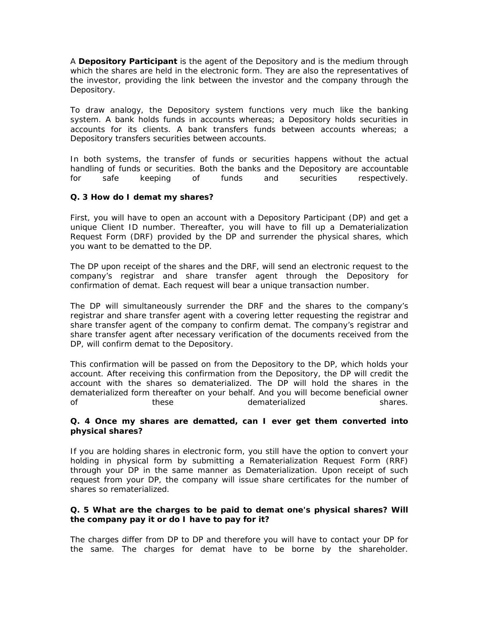A **Depository Participant** is the agent of the Depository and is the medium through which the shares are held in the electronic form. They are also the representatives of the investor, providing the link between the investor and the company through the Depository.

To draw analogy, the Depository system functions very much like the banking system. A bank holds funds in accounts whereas; a Depository holds securities in accounts for its clients. A bank transfers funds between accounts whereas; a Depository transfers securities between accounts.

In both systems, the transfer of funds or securities happens without the actual handling of funds or securities. Both the banks and the Depository are accountable for safe keeping of funds and securities respectively.

#### **Q. 3 How do I demat my shares?**

First, you will have to open an account with a Depository Participant (DP) and get a unique Client ID number. Thereafter, you will have to fill up a Dematerialization Request Form (DRF) provided by the DP and surrender the physical shares, which you want to be dematted to the DP.

The DP upon receipt of the shares and the DRF, will send an electronic request to the company's registrar and share transfer agent through the Depository for confirmation of demat. Each request will bear a unique transaction number.

The DP will simultaneously surrender the DRF and the shares to the company's registrar and share transfer agent with a covering letter requesting the registrar and share transfer agent of the company to confirm demat. The company's registrar and share transfer agent after necessary verification of the documents received from the DP, will confirm demat to the Depository.

This confirmation will be passed on from the Depository to the DP, which holds your account. After receiving this confirmation from the Depository, the DP will credit the account with the shares so dematerialized. The DP will hold the shares in the dematerialized form thereafter on your behalf. And you will become beneficial owner of these dematerialized shares.

#### **Q. 4 Once my shares are dematted, can I ever get them converted into physical shares?**

If you are holding shares in electronic form, you still have the option to convert your holding in physical form by submitting a Rematerialization Request Form (RRF) through your DP in the same manner as Dematerialization. Upon receipt of such request from your DP, the company will issue share certificates for the number of shares so rematerialized.

## **Q. 5 What are the charges to be paid to demat one's physical shares? Will the company pay it or do I have to pay for it?**

The charges differ from DP to DP and therefore you will have to contact your DP for the same. The charges for demat have to be borne by the shareholder.